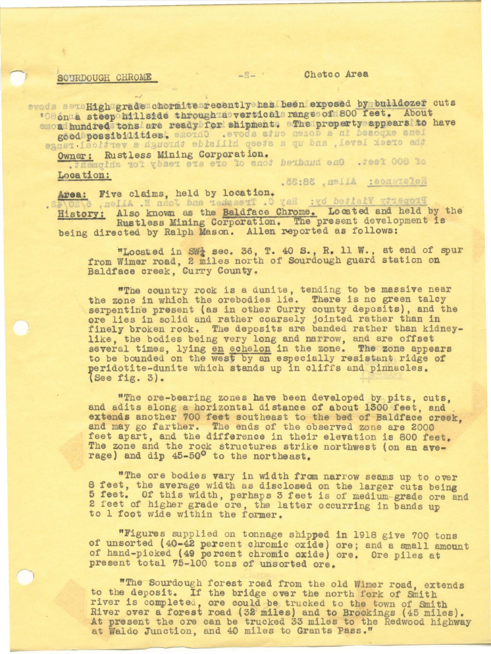## SOURDOUGH CHROME CARE Area

evods sensHigh grade chormite recently has been exposed by bulldozer cuts **\*086nma** steep hillside through a vertical range of 800 feet. About emond hundred tons are ready for shipment. The property appears to have lens exposed in a dozen cuts above. Chrome teeithidissordboogs

Owner: Rustless Mining Corporation.<br>
. Jaemqida tot ybset ets eto to anot bethand en0 . Jest 008 to<br>
Location: Reference: Allen, 38:35.

Area: Five claims, held by location. Property Visited by: Ray C. Treasker and John E. Allen, 6 History: Also known as the Baldface Chrome. Located and held by the Rustless Mining Corporation. The present development is being directed by Ralph Mason. Allen reported as follows:

"Located in SW<sub>2</sub> sec. 36, T. 40 S., R. 11 W., at end of spur from Wimer road, 2 miles north of Sourdough guard station on Baldface creek, Curry County.

"The country rock is a dunite, tending to be massive near the zone in which the orebodies lie. There is no green talcy serpentine present (as in other Curry county deposits), and the serpentine present (as in other curry county deposits), and there is no solid and rather coarsely jointed rather than in finely broken rock. The deposits are banded rather than kidneylike, the bodies being very long and narrow, and are offset several times, lying en echelon in the zone. The zone appears to be bounded on the west by an especially resistant ridge of peridotite-dunite which stands up in cliffs and pinnacles. lSee fig. 3).

"The ore-bearing zones have been developed by pits, cuts, and adits along a horizontal distance of about 1300 feet, and extends another 700 feet southeast to the bed of Baldface creek, and may go farther. The ends of the observed zone are 2000 feet apart, and the difference in their elevation is 800 feet. The zone and the rock structures strike northwest (on an average) and dip 45-50° to the northeast.

"The ore bodies vary in width from narrow seams up to over 8 feet, the average width as disclosed on the larger cuts being 5 feet. Of this width, perhaps 3 feet is of medium-grade ore and 2 feet of higher grade ore, the latter occurring in bands up to 1 foot wide within the former.

"Figures supplied on tonnage shipped in 1918 give 700 tons of unsorted (40-42 percent chromic oxide) ore; and a small amount of hand-picked (49 percent chromic oxide) ore. Ore piles at present total 75-100 tons of unsorted ore.

"The Sourdough forest road from the old Wimer road, extends to the deposit. If the bridge over the north fork of Smith river is completed, ore could be trucked to the town of Smith River over a forest road (32 miles) and to Brookings (45 miles).<br>At present the ore can be trucked 33 miles to the Redwood highway At present the ore can be trucked 33 miles to the Redwood highway at Waldo Junction, and 40 miles to Grants Pass."